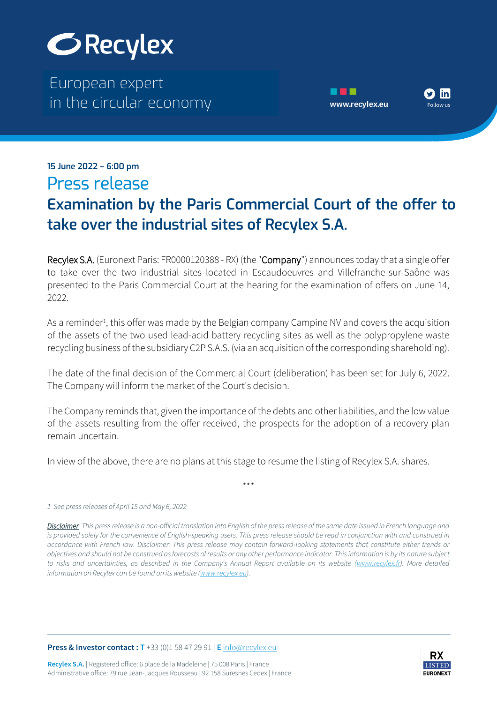

The European expert European expert in the circular economy **[www.recylex.eu](https://www.recylex.eu)** in the circular economy



## $\mathbf{m}$  is a set of  $\mathbf{m}$  expertise  $\mathbf{m}$ in the circular economy **www.recylex.eu 15 June 2022 – 6:00 pm** Press release

## **Examination by the Paris Commercial Court of the offer to take over the industrial sites of Recylex S.A.**

Recylex S.A. (Euronext Paris: FR0000120388 - RX) (the "Company") announces today that a single offer to take over the two industrial sites located in Escaudoeuvres and Villefranche-sur-Saône was presented to the Paris Commercial Court at the hearing for the examination of offers on June 14, 2022.

As a reminder<sup>1</sup>, this offer was made by the Belgian company Campine NV and covers the acquisition of the assets of the two used lead-acid battery recycling sites as well as the polypropylene waste recycling business of the subsidiary C2P S.A.S. (via an acquisition of the corresponding shareholding).

The date of the final decision of the Commercial Court (deliberation) has been set for July 6, 2022. The Company will inform the market of the Court's decision.

The Company reminds that, given the importance of the debts and other liabilities, and the low value of the assets resulting from the offer received, the prospects for the adoption of a recovery plan remain uncertain.

In view of the above, there are no plans at this stage to resume the listing of Recylex S.A. shares.

\*\*\*

*Disclaimer: This press release is a non-official translation into English of the press release of the same date issued in French language and is provided solely for the convenience of English-speaking users. This press release should be read in conjunction with and construed in accordance with French law. Disclaimer: This press release may contain forward-looking statements that constitute either trends or objectives and should not be construed as forecasts of results or any other performance indicator. This information is by its nature subject to risks and uncertainties, as described in the Company's Annual Report available on its website [\(www.recylex.fr\).](http://www.recylex.fr/) More detailed information on Recylex can be found on its website [\(www.recylex.eu\).](http://www.recylex.eu/)*

**Press & Investor contact : T** +33 (0)1 58 47 29 91 | **E** [info@recylex.eu](mailto:info@recylex.eu)



*<sup>1</sup> See press releases of April 15 and May 6, 2022*